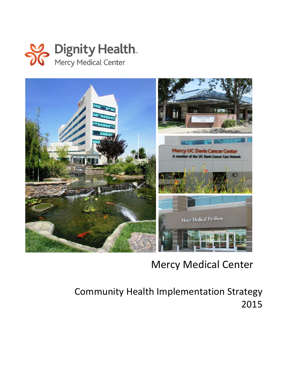

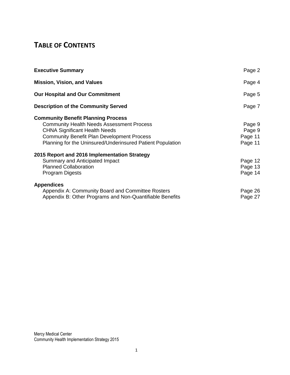### **TABLE OF CONTENTS**

| <b>Executive Summary</b>                                                                                                                                                                                                                                 | Page 2                                 |
|----------------------------------------------------------------------------------------------------------------------------------------------------------------------------------------------------------------------------------------------------------|----------------------------------------|
| <b>Mission, Vision, and Values</b>                                                                                                                                                                                                                       | Page 4                                 |
| <b>Our Hospital and Our Commitment</b>                                                                                                                                                                                                                   | Page 5                                 |
| <b>Description of the Community Served</b>                                                                                                                                                                                                               | Page 7                                 |
| <b>Community Benefit Planning Process</b><br><b>Community Health Needs Assessment Process</b><br><b>CHNA Significant Health Needs</b><br><b>Community Benefit Plan Development Process</b><br>Planning for the Uninsured/Underinsured Patient Population | Page 9<br>Page 9<br>Page 11<br>Page 11 |
| 2015 Report and 2016 Implementation Strategy<br>Summary and Anticipated Impact<br><b>Planned Collaboration</b><br>Program Digests                                                                                                                        | Page 12<br>Page 13<br>Page 14          |
| <b>Appendices</b><br>Appendix A: Community Board and Committee Rosters<br>Appendix B: Other Programs and Non-Quantifiable Benefits                                                                                                                       | Page 26<br>Page 27                     |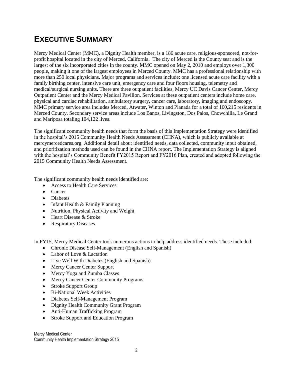## **EXECUTIVE SUMMARY**

Mercy Medical Center (MMC), a Dignity Health member, is a 186 acute care, religious-sponsored, not-forprofit hospital located in the city of Merced, California. The city of Merced is the County seat and is the largest of the six incorporated cities in the county. MMC opened on May 2, 2010 and employs over 1,300 people, making it one of the largest employees in Merced County. MMC has a professional relationship with more than 250 local physicians. Major programs and services include: one licensed acute care facility with a family birthing center, intensive care unit, emergency care and four floors housing, telemetry and medical/surgical nursing units. There are three outpatient facilities, Mercy UC Davis Cancer Center, Mercy Outpatient Center and the Mercy Medical Pavilion. Services at these outpatient centers include home care, physical and cardiac rehabilitation, ambulatory surgery, cancer care, laboratory, imaging and endoscopy. MMC primary service area includes Merced, Atwater, Winton and Planada for a total of 160,215 residents in Merced County. Secondary service areas include Los Banos, Livingston, Dos Palos, Chowchilla, Le Grand and Mariposa totaling 104,122 lives.

The significant community health needs that form the basis of this Implementation Strategy were identified in the hospital's 2015 Community Health Needs Assessment (CHNA), which is publicly available at mercymercedcares.org. Additional detail about identified needs, data collected, community input obtained, and prioritization methods used can be found in the CHNA report. The Implementation Strategy is aligned with the hospital's Community Benefit FY2015 Report and FY2016 Plan, created and adopted following the 2015 Community Health Needs Assessment.

The significant community health needs identified are:

- Access to Health Care Services
- Cancer
- Diabetes
- $\bullet$  Infant Health & Family Planning
- Nutrition, Physical Activity and Weight
- Heart Disease & Stroke
- Respiratory Diseases

In FY15, Mercy Medical Center took numerous actions to help address identified needs. These included:

- Chronic Disease Self-Management (English and Spanish)
- Labor of Love & Lactation
- Live Well With Diabetes (English and Spanish)
- Mercy Cancer Center Support
- Mercy Yoga and Zumba Classes
- Mercy Cancer Center Community Programs
- Stroke Support Group
- Bi-National Week Activities
- Diabetes Self-Management Program
- Dignity Health Community Grant Program
- Anti-Human Trafficking Program
- Stroke Support and Education Program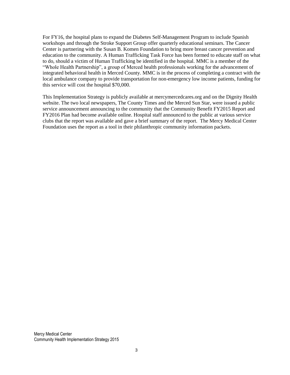For FY16, the hospital plans to expand the Diabetes Self-Management Program to include Spanish workshops and through the Stroke Support Group offer quarterly educational seminars. The Cancer Center is partnering with the Susan B. Komen Foundation to bring more breast cancer prevention and education to the community. A Human Trafficking Task Force has been formed to educate staff on what to do, should a victim of Human Trafficking be identified in the hospital. MMC is a member of the "Whole Health Partnership", a group of Merced health professionals working for the advancement of integrated behavioral health in Merced County. MMC is in the process of completing a contract with the local ambulance company to provide transportation for non-emergency low income patients, funding for this service will cost the hospital \$70,000.

This Implementation Strategy is publicly available at mercymercedcares.org and on the Dignity Health website. The two local newspapers, The County Times and the Merced Sun Star, were issued a public service announcement announcing to the community that the Community Benefit FY2015 Report and FY2016 Plan had become available online. Hospital staff announced to the public at various service clubs that the report was available and gave a brief summary of the report. The Mercy Medical Center Foundation uses the report as a tool in their philanthropic community information packets.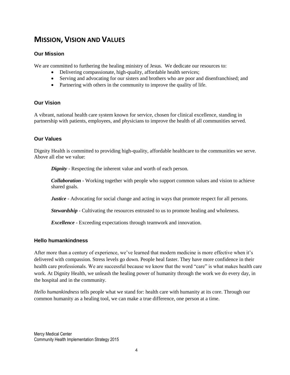### **MISSION, VISION AND VALUES**

#### **Our Mission**

We are committed to furthering the healing ministry of Jesus. We dedicate our resources to:

- Delivering compassionate, high-quality, affordable health services;
- Serving and advocating for our sisters and brothers who are poor and disenfranchised; and
- Partnering with others in the community to improve the quality of life.

#### **Our Vision**

A vibrant, national health care system known for service, chosen for clinical excellence, standing in partnership with patients, employees, and physicians to improve the health of all communities served.

#### **Our Values**

Dignity Health is committed to providing high-quality, affordable healthcare to the communities we serve. Above all else we value:

*Dignity* - Respecting the inherent value and worth of each person.

*Collaboration* - Working together with people who support common values and vision to achieve shared goals.

*Justice* - Advocating for social change and acting in ways that promote respect for all persons.

*Stewardship* - Cultivating the resources entrusted to us to promote healing and wholeness.

*Excellence* - Exceeding expectations through teamwork and innovation.

#### **Hello humankindness**

After more than a century of experience, we've learned that modern medicine is more effective when it's delivered with compassion. Stress levels go down. People heal faster. They have more confidence in their health care professionals. We are successful because we know that the word "care" is what makes health care work. At Dignity Health, we unleash the healing power of humanity through the work we do every day, in the hospital and in the community.

*Hello humankindness* tells people what we stand for: health care with humanity at its core. Through our common humanity as a healing tool, we can make a true difference, one person at a time.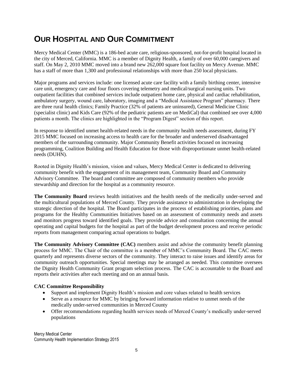## **OUR HOSPITAL AND OUR COMMITMENT**

Mercy Medical Center (MMC) is a 186-bed acute care, religious-sponsored, not-for-profit hospital located in the city of Merced, California. MMC is a member of Dignity Health, a family of over 60,000 caregivers and staff. On May 2, 2010 MMC moved into a brand new 262,000 square foot facility on Mercy Avenue. MMC has a staff of more than 1,300 and professional relationships with more than 250 local physicians.

Major programs and services include: one licensed acute care facility with a family birthing center, intensive care unit, emergency care and four floors covering telemetry and medical/surgical nursing units. Two outpatient facilities that combined services include outpatient home care, physical and cardiac rehabilitation, ambulatory surgery, wound care, laboratory, imaging and a "Medical Assistance Program" pharmacy. There are three rural health clinics; Family Practice (32% of patients are uninsured), General Medicine Clinic (specialist clinic) and Kids Care (92% of the pediatric patients are on MediCal) that combined see over 4,000 patients a month. The clinics are highlighted in the "Program Digest" section of this report.

In response to identified unmet health-related needs in the community health needs assessment, during FY 2015 MMC focused on increasing access to health care for the broader and underserved disadvantaged members of the surrounding community. Major Community Benefit activities focused on increasing programming, Coalition Building and Health Education for those with disproportionate unmet health-related needs (DUHN).

Rooted in Dignity Health's mission, vision and values, Mercy Medical Center is dedicated to delivering community benefit with the engagement of its management team, Community Board and Community Advisory Committee. The board and committee are composed of community members who provide stewardship and direction for the hospital as a community resource.

**The Community Board** reviews health initiatives and the health needs of the medically under-served and the multicultural populations of Merced County. They provide assistance to administration in developing the strategic direction of the hospital. The Board participates in the process of establishing priorities, plans and programs for the Healthy Communities Initiatives based on an assessment of community needs and assets and monitors progress toward identified goals. They provide advice and consultation concerning the annual operating and capital budgets for the hospital as part of the budget development process and receive periodic reports from management comparing actual operations to budget.

**The Community Advisory Committee (CAC)** members assist and advise the community benefit planning process for MMC. The Chair of the committee is a member of MMC's Community Board. The CAC meets quarterly and represents diverse sectors of the community. They interact to raise issues and identify areas for community outreach opportunities. Special meetings may be arranged as needed. This committee oversees the Dignity Health Community Grant program selection process. The CAC is accountable to the Board and reports their activities after each meeting and on an annual basis.

#### **CAC Committee Responsibility**

- Support and implement Dignity Health's mission and core values related to health services
- Serve as a resource for MMC by bringing forward information relative to unmet needs of the medically under-served communities in Merced County
- Offer recommendations regarding health services needs of Merced County's medically under-served populations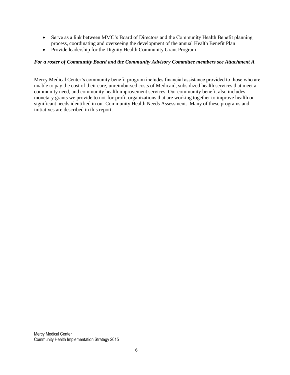- Serve as a link between MMC's Board of Directors and the Community Health Benefit planning process, coordinating and overseeing the development of the annual Health Benefit Plan
- Provide leadership for the Dignity Health Community Grant Program

#### *For a roster of Community Board and the Community Advisory Committee members see Attachment A*

Mercy Medical Center's community benefit program includes financial assistance provided to those who are unable to pay the cost of their care, unreimbursed costs of Medicaid, subsidized health services that meet a community need, and community health improvement services. Our community benefit also includes monetary grants we provide to not-for-profit organizations that are working together to improve health on significant needs identified in our Community Health Needs Assessment. Many of these programs and initiatives are described in this report.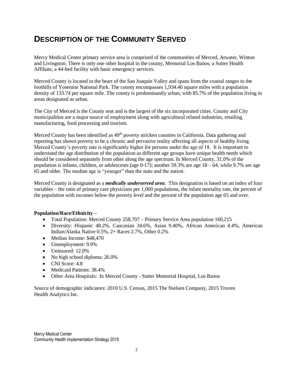## **DESCRIPTION OF THE COMMUNITY SERVED**

Mercy Medical Center primary service area is comprised of the communities of Merced, Atwater, Winton and Livingston. There is only one other hospital in the county, Memorial Los Banos, a Sutter Health Affiliate, a 44-bed facility with basic emergency services.

Merced County is located in the heart of the San Joaquin Valley and spans from the coastal ranges to the foothills of Yosemite National Park. The county encompasses 1,934.46 square miles with a population density of 133.74 per square mile. The county is predominantly urban, with 85.7% of the population living in areas designated as urban.

The City of Merced is the County seat and is the largest of the six incorporated cities. County and City municipalities are a major source of employment along with agricultural related industries, retailing, manufacturing, food processing and tourism.

Merced County has been identified as 49<sup>th</sup> poverty stricken counties in California. Data gathering and reporting has shown poverty to be a chronic and pervasive reality affecting all aspects of healthy living. Merced County's poverty rate is significantly higher for persons under the age of 18. It is important to understand the age distribution of the population as different age groups have unique health needs which should be considered separately from other along the age spectrum. In Merced County, 31.0% of the population is infants, children, or adolescents (age  $0-17$ ); another 59.3% are age  $18-64$ , while 9.7% are age 65 and older. The median age is "younger" than the state and the nation.

Merced County is designated as a *medically underserved area*. This designation is based on an index of four variables – the ratio of primary care physicians per 1,000 populations, the infant mortality rate, the percent of the population with incomes below the poverty level and the percent of the population age 65 and over.

#### **Population/Race/Ethnicity –**

- Total Population: Merced County 258,707 Primary Service Area population 160,215
- Diversity: Hispanic 48.2%, Caucasian 34.6%, Asian 9.40%, African American 4.4%, American Indian/Alaska Native 0.5%, 2+ Races 2.7%, Other 0.2%
- Median Income: \$48,470
- Unemployment: 9.9%
- Uninsured: 12.0%
- No high school diploma: 26.0%
- CNI Score: 4.8
- Medicaid Patients: 38.4%
- Other Area Hospitals: In Merced County Sutter Memorial Hospital, Los Banos

Source of demographic indicators: 2010 U.S. Census, 2015 The Nielsen Company, 2015 Truven Health Analytics Inc.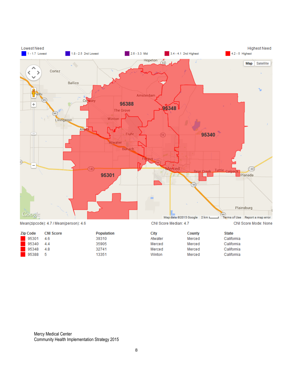

Mean(zipcode): 4.7 / Mean(person): 4.6

| <b>Zip Code</b> | <b>CNI Score</b> | <b>Population</b> | City    | <b>County</b> | <b>State</b> |
|-----------------|------------------|-------------------|---------|---------------|--------------|
| 95301           | 4.6              | 39310             | Atwater | Merced        | California   |
| 95340           | 4.4              | 35905             | Merced  | Merced        | California   |
| 95348           | 4.8              | 32741             | Merced  | Merced        | California   |
| 95388           | -5               | 13351             | Winton  | Merced        | California   |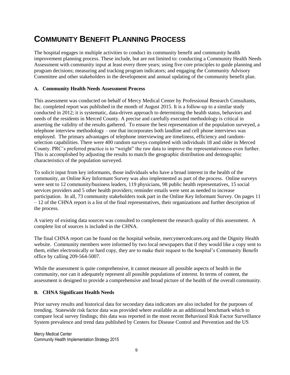## **COMMUNITY BENEFIT PLANNING PROCESS**

The hospital engages in multiple activities to conduct its community benefit and community health improvement planning process. These include, but are not limited to: conducting a Community Health Needs Assessment with community input at least every three years; using five core principles to guide planning and program decisions; measuring and tracking program indicators; and engaging the Community Advisory Committee and other stakeholders in the development and annual updating of the community benefit plan.

#### **A. Community Health Needs Assessment Process**

This assessment was conducted on behalf of Mercy Medical Center by Professional Research Consultants, Inc. completed report was published in the month of August 2015. It is a follow-up to a similar study conducted in 2012; it is systematic, data-driven approach to determining the health status, behaviors and needs of the residents in Merced County. A precise and carefully executed methodology is critical in asserting the validity of the results gathered. To ensure the best representation of the population surveyed, a telephone interview methodology – one that incorporates both landline and cell phone interviews was employed. The primary advantages of telephone interviewing are timeliness, efficiency and randomselection capabilities. There were 400 random surveys completed with individuals 18 and older in Merced County. PRC's preferred practice is to "weight" the raw data to improve the representativeness even further. This is accomplished by adjusting the results to match the geographic distribution and demographic characteristics of the population surveyed.

To solicit input from key informants, those individuals who have a broad interest in the health of the community, an Online Key Informant Survey was also implemented as part of the process. Online surveys were sent to 12 community/business leaders, 119 physicians, 98 public health representatives, 15 social services providers and 5 other health providers; reminder emails were sent as needed to increase participation. In all, 73 community stakeholders took part in the Online Key Informant Survey. On pages 11 – 12 of the CHNA report is a list of the final representatives, their organizations and further description of the process.

A variety of existing data sources was consulted to complement the research quality of this assessment. A complete list of sources is included in the CHNA.

The final CHNA report can be found on the hospital website, mercymercedcares.org and the Dignity Health website. Community members were informed by two local newspapers that if they would like a copy sent to them, either electronically or hard copy, they are to make their request to the hospital's Community Benefit office by calling 209-564-5007.

While the assessment is quite comprehensive, it cannot measure all possible aspects of health in the community, nor can it adequately represent all possible populations of interest. In terms of content, the assessment is designed to provide a comprehensive and broad picture of the health of the overall community.

#### **B. CHNA Significant Health Needs**

Prior survey results and historical data for secondary data indicators are also included for the purposes of trending. Statewide risk factor data was provided where available as an additional benchmark which to compare local survey findings; this data was reported in the most recent Behavioral Risk Factor Surveillance System prevalence and trend data published by Centers for Disease Control and Prevention and the US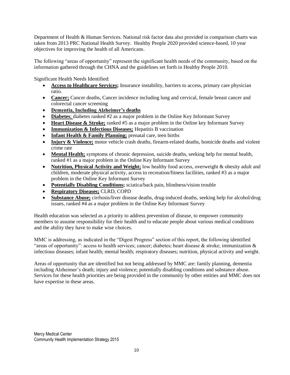Department of Health & Human Services. National risk factor data also provided in comparison charts was taken from 2013 PRC National Health Survey. Healthy People 2020 provided science-based, 10 year objectives for improving the health of all Americans.

The following "areas of opportunity" represent the significant health needs of the community, based on the information gathered through the CHNA and the guidelines set forth in Healthy People 2010.

Significant Health Needs Identified:

- **Access to Healthcare Services;** Insurance instability, barriers to access, primary care physician ratio.
- **Cancer**; Cancer deaths, Cancer incidence including lung and cervical, female breast cancer and colorectal cancer screening
- **Dementia, Including Alzheimer's deaths**
- **Diabetes**; diabetes ranked #2 as a major problem in the Online Key Informant Survey
- **Heart Disease & Stroke;** ranked #5 as a major problem in the Online key Informant Survey
- **Immunization & Infectious Diseases;** Hepatitis B vaccination
- Infant Health & Family Planning; prenatal care, teen births
- **Injury & Violence;** motor vehicle crash deaths, firearm-related deaths, homicide deaths and violent crime rate
- **Mental Health;** symptoms of chronic depression, suicide deaths, seeking help for mental health, ranked #1 as a major problem in the Online Key Informant Survey
- **Nutrition, Physical Activity and Weight;** low healthy food access, overweight & obesity adult and children, moderate physical activity, access to recreation/fitness facilities, ranked #3 as a major problem in the Online Key Informant Survey
- **Potentially Disabling Conditions;** sciatica/back pain, blindness/vision trouble
- **Respiratory Diseases;** CLRD, COPD
- **Substance Abuse;** cirrhosis/liver disease deaths, drug-induced deaths, seeking help for alcohol/drug issues, ranked #4 as a major problem in the Online Key Informant Survey

Health education was selected as a priority to address prevention of disease, to empower community members to assume responsibility for their health and to educate people about various medical conditions and the ability they have to make wise choices.

MMC is addressing, as indicated in the "Digest Progress" section of this report, the following identified "areas of opportunity": access to health services; cancer; diabetes; heart disease  $\&$  stroke; immunization  $\&$ infectious diseases; infant health; mental health; respiratory diseases; nutrition, physical activity and weight.

Areas of opportunity that are identified but not being addressed by MMC are: family planning, dementia including Alzheimer's death; injury and violence; potentially disabling conditions and substance abuse. Services for these health priorities are being provided in the community by other entities and MMC does not have expertise in these areas.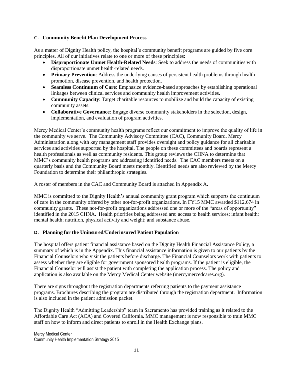#### **C. Community Benefit Plan Development Process**

As a matter of Dignity Health policy, the hospital's community benefit programs are guided by five core principles. All of our initiatives relate to one or more of these principles:

- **Disproportionate Unmet Health-Related Needs**: Seek to address the needs of communities with disproportionate unmet health-related needs.
- **Primary Prevention**: Address the underlying causes of persistent health problems through health promotion, disease prevention, and health protection.
- **Seamless Continuum of Care**: Emphasize evidence-based approaches by establishing operational linkages between clinical services and community health improvement activities.
- **Community Capacity**: Target charitable resources to mobilize and build the capacity of existing community assets.
- **Collaborative Governance**: Engage diverse community stakeholders in the selection, design, implementation, and evaluation of program activities.

Mercy Medical Center's community health programs reflect our commitment to improve the quality of life in the community we serve. The Community Advisory Committee (CAC), Community Board, Mercy Administration along with key management staff provides oversight and policy guidance for all charitable services and activities supported by the hospital. The people on these committees and boards represent a health professionals as well as community residents. This group reviews the CHNA to determine that MMC's community health programs are addressing identified needs. The CAC members meets on a quarterly basis and the Community Board meets monthly. Identified needs are also reviewed by the Mercy Foundation to determine their philanthropic strategies.

A roster of members in the CAC and Community Board is attached in Appendix A.

MMC is committed to the Dignity Health's annual community grant program which supports the continuum of care in the community offered by other not-for-profit organizations. In FY15 MMC awarded \$112,674 in community grants. These not-for-profit organizations addressed one or more of the "areas of opportunity" identified in the 2015 CHNA. Health priorities being addressed are: access to health services; infant health; mental health; nutrition, physical activity and weight; and substance abuse.

#### **D. Planning for the Uninsured/Underinsured Patient Population**

The hospital offers patient financial assistance based on the Dignity Health Financial Assistance Policy, a summary of which is in the Appendix. This financial assistance information is given to our patients by the Financial Counselors who visit the patients before discharge. The Financial Counselors work with patients to assess whether they are eligible for government sponsored health programs. If the patient is eligible, the Financial Counselor will assist the patient with completing the application process. The policy and application is also available on the Mercy Medical Center website (mercymercedcares.org).

There are signs throughout the registration departments referring patients to the payment assistance programs. Brochures describing the program are distributed through the registration department. Information is also included in the patient admission packet.

The Dignity Health "Admitting Leadership" team in Sacramento has provided training as it related to the Affordable Care Act (ACA) and Covered California. MMC management is now responsible to train MMC staff on how to inform and direct patients to enroll in the Health Exchange plans.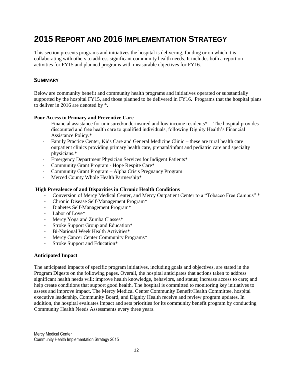## **2015 REPORT AND 2016 IMPLEMENTATION STRATEGY**

This section presents programs and initiatives the hospital is delivering, funding or on which it is collaborating with others to address significant community health needs. It includes both a report on activities for FY15 and planned programs with measurable objectives for FY16.

#### **SUMMARY**

Below are community benefit and community health programs and initiatives operated or substantially supported by the hospital FY15, and those planned to be delivered in FY16. Programs that the hospital plans to deliver in 2016 are denoted by \*.

#### **Poor Access to Primary and Preventive Care**

- Financial assistance for uninsured/underinsured and low income residents\* -- The hospital provides discounted and free health care to qualified individuals, following Dignity Health's Financial Assistance Policy.\*
- Family Practice Center, Kids Care and General Medicine Clinic these are rural health care outpatient clinics providing primary health care, prenatal/infant and pediatric care and specialty physicians.\*
- Emergency Department Physician Services for Indigent Patients\*
- Community Grant Program Hope Respite Care\*
- Community Grant Program Alpha Crisis Pregnancy Program
- Merced County Whole Health Partnership\*

#### **High Prevalence of and Disparities in Chronic Health Conditions**

- Conversion of Mercy Medical Center, and Mercy Outpatient Center to a "Tobacco Free Campus" \*
- Chronic Disease Self-Management Program\*
- Diabetes Self-Management Program\*
- Labor of Love\*
- Mercy Yoga and Zumba Classes\*
- Stroke Support Group and Education\*
- Bi-National Week Health Activities\*
- Mercy Cancer Center Community Programs\*
- Stroke Support and Education\*

#### **Anticipated Impact**

The anticipated impacts of specific program initiatives, including goals and objectives, are stated in the Program Digests on the following pages. Overall, the hospital anticipates that actions taken to address significant health needs will: improve health knowledge, behaviors, and status; increase access to care; and help create conditions that support good health. The hospital is committed to monitoring key initiatives to assess and improve impact. The Mercy Medical Center Community Benefit/Health Committee, hospital executive leadership, Community Board, and Dignity Health receive and review program updates. In addition, the hospital evaluates impact and sets priorities for its community benefit program by conducting Community Health Needs Assessments every three years.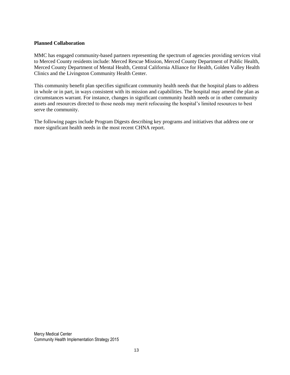#### **Planned Collaboration**

MMC has engaged community-based partners representing the spectrum of agencies providing services vital to Merced County residents include: Merced Rescue Mission, Merced County Department of Public Health, Merced County Department of Mental Health, Central California Alliance for Health, Golden Valley Health Clinics and the Livingston Community Health Center.

This community benefit plan specifies significant community health needs that the hospital plans to address in whole or in part, in ways consistent with its mission and capabilities. The hospital may amend the plan as circumstances warrant. For instance, changes in significant community health needs or in other community assets and resources directed to those needs may merit refocusing the hospital's limited resources to best serve the community.

The following pages include Program Digests describing key programs and initiatives that address one or more significant health needs in the most recent CHNA report.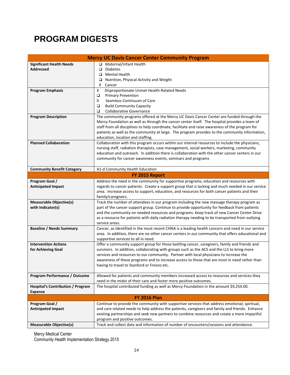## **PROGRAM DIGESTS**

|                                                            | <b>Mercy UC Davis Cancer Center Community Program</b>                                                                                                                                                                                                                                                                                                                                                                                  |  |  |
|------------------------------------------------------------|----------------------------------------------------------------------------------------------------------------------------------------------------------------------------------------------------------------------------------------------------------------------------------------------------------------------------------------------------------------------------------------------------------------------------------------|--|--|
| <b>Significant Health Needs</b><br><b>Addressed</b>        | □ Maternal/Infant Health<br>▫<br><b>Diabetes</b><br>Mental Health<br>Nutrition, Physical Activity and Weight<br>□<br>X<br>Cancer                                                                                                                                                                                                                                                                                                       |  |  |
| <b>Program Emphasis</b>                                    | Disproportionate Unmet Health-Related Needs<br>x<br>$\Box$<br><b>Primary Prevention</b><br>Seamless Continuum of Care<br>X<br>$\Box$<br><b>Build Community Capacity</b><br>$\Box$<br><b>Collaborative Governance</b>                                                                                                                                                                                                                   |  |  |
| <b>Program Description</b>                                 | The community programs offered at the Mercy UC Davis Cancer Center are funded through the<br>Mercy Foundation as well as through the cancer center itself. The hospital provides a team of<br>staff from all disciplines to help coordinate, facilitate and raise awareness of the program for<br>patients as well as the community at large. The program provides to the community information,<br>education, location and staffing.  |  |  |
| <b>Planned Collaboration</b>                               | Collaboration with this program occurs within our internal resources to include the physicians,<br>nursing staff, radiation therapists, case management, social workers, marketing, community<br>education and outreach. In addition there is collaboration with the other cancer centers in our<br>community for cancer awareness events, seminars and programs                                                                       |  |  |
| <b>Community Benefit Category</b>                          | A1-d Community Health Education                                                                                                                                                                                                                                                                                                                                                                                                        |  |  |
|                                                            | FY 2015 Report                                                                                                                                                                                                                                                                                                                                                                                                                         |  |  |
| Program Goal /<br><b>Anticipated Impact</b>                | Address the need in the community for supportive programs, education and resources with<br>regards to cancer patients. Create a support group that is lacking and much needed in our service<br>area. Increase access to support, education, and resources for both cancer patients and their<br>family/caregivers.                                                                                                                    |  |  |
| <b>Measurable Objective(s)</b><br>with Indicator(s)        | Track the number of attendees in our program including the new massage therapy program as<br>part of the cancer support group. Continue to provide opportunity for feedback from patients<br>and the community on needed resources and programs. Keep track of new Cancer Center Drive<br>as a resource for patients with daily radiation therapy needing to be transported from outlying<br>service areas.                            |  |  |
| <b>Baseline / Needs Summary</b>                            | Cancer, as identified in the most recent CHNA is a leading health concern and need in our service<br>area. In addition, there are no other cancer centers in our community that offers educational and<br>supportive services to all in need.                                                                                                                                                                                          |  |  |
| <b>Intervention Actions</b><br>for Achieving Goal          | Offer a community support group for those battling cancer, caregivers, family and friends and<br>survivors. In addition, collaborating with groups such as the ACS and the LLS to bring more<br>services and resources to our community. Partner with local physicians to increase the<br>awareness of these programs and to increase access to those that are most in need rather than<br>having to travel to Stanford or Fresno etc. |  |  |
| Program Performance / Outcome                              | Allowed for patients and community members increased access to resources and services they<br>need in the midst of their care and foster more positive outcomes.                                                                                                                                                                                                                                                                       |  |  |
| <b>Hospital's Contribution / Program</b><br><b>Expense</b> | The hospital contributed funding as well as Mercy Foundation in the amount \$9,254.00.                                                                                                                                                                                                                                                                                                                                                 |  |  |
| <b>FY 2016 Plan</b>                                        |                                                                                                                                                                                                                                                                                                                                                                                                                                        |  |  |
| Program Goal /<br><b>Anticipated Impact</b>                | Continue to provide the community with supportive services that address emotional, spiritual,<br>and care related needs to help address the patients, caregivers and family and friends. Enhance<br>existing partnerships and seek new partners to combine resources and create a more impactful<br>program and positive outcomes.                                                                                                     |  |  |
| <b>Measurable Objective(s)</b>                             | Track and collect date and information of number of encounters/sessions and attendance.                                                                                                                                                                                                                                                                                                                                                |  |  |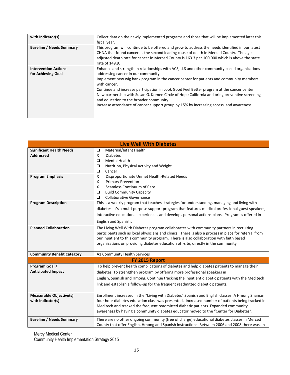| Collect data on the newly implemented programs and those that will be implemented later this    |
|-------------------------------------------------------------------------------------------------|
|                                                                                                 |
| This program will continue to be offered and grow to address the needs identified in our latest |
| CHNA that found cancer as the second leading cause of death in Merced County. The age-          |
| adjusted death rate for cancer in Merced County is 163.3 per 100,000 which is above the state   |
| Enhance and strengthen relationships with ACS, LLS and other community based organizations      |
|                                                                                                 |
| Implement new wig bank program in the cancer center for patients and community members          |
| Continue and increase participation in Look Good Feel Better program at the cancer center       |
| New partnership with Susan G. Komen Circle of Hope California and bring preventive screenings   |
| Increase attendance of cancer support group by 15% by increasing access and awareness.          |
|                                                                                                 |
|                                                                                                 |

| <b>Live Well With Diabetes</b>    |                                                                                                       |  |  |
|-----------------------------------|-------------------------------------------------------------------------------------------------------|--|--|
| <b>Significant Health Needs</b>   | Maternal/Infant Health<br>$\Box$                                                                      |  |  |
| <b>Addressed</b>                  | X<br><b>Diabetes</b>                                                                                  |  |  |
|                                   | $\Box$<br><b>Mental Health</b>                                                                        |  |  |
|                                   | $\Box$<br>Nutrition, Physical Activity and Weight                                                     |  |  |
|                                   | $\Box$<br>Cancer                                                                                      |  |  |
| <b>Program Emphasis</b>           | X<br>Disproportionate Unmet Health-Related Needs                                                      |  |  |
|                                   | <b>Primary Prevention</b><br>X<br>Seamless Continuum of Care                                          |  |  |
|                                   | X<br>$\Box$                                                                                           |  |  |
|                                   | <b>Build Community Capacity</b><br>$\Box$<br><b>Collaborative Governance</b>                          |  |  |
| <b>Program Description</b>        | This is a weekly program that teaches strategies for understanding, managing and living with          |  |  |
|                                   |                                                                                                       |  |  |
|                                   | diabetes. It's a multi-purpose support program that features medical professional guest speakers,     |  |  |
|                                   | interactive educational experiences and develops personal actions plans. Program is offered in        |  |  |
|                                   | English and Spanish.                                                                                  |  |  |
| <b>Planned Collaboration</b>      | The Living Well With Diabetes program collaborates with community partners in recruiting              |  |  |
|                                   | participants such as local physicians and clinics. There is also a process in place for referral from |  |  |
|                                   | our inpatient to this community program. There is also collaboration with faith based                 |  |  |
|                                   | organizations on providing diabetes education off-site, directly in the community                     |  |  |
|                                   |                                                                                                       |  |  |
| <b>Community Benefit Category</b> | A1 Community Health Services                                                                          |  |  |
| FY 2015 Report                    |                                                                                                       |  |  |
| Program Goal /                    | To help prevent health complications of diabetes and help diabetes patients to manage their           |  |  |
| <b>Anticipated Impact</b>         | diabetes. To strengthen program by offering more professional speakers in                             |  |  |
|                                   | English, Spanish and Hmong. Continue tracking the inpatient diabetic patients with the Meditech       |  |  |
|                                   | link and establish a follow-up for the frequent readmitted diabetic patients.                         |  |  |
|                                   |                                                                                                       |  |  |
| <b>Measurable Objective(s)</b>    | Enrollment increased in the "Living with Diabetes" Spanish and English classes. A Hmong Shaman        |  |  |
| with Indicator(s)                 | four hour diabetes education class was presented. Increased number of patients being tracked in       |  |  |
|                                   | Meditech and tracked the frequent readmitted diabetic patients. Expanded community                    |  |  |
|                                   | awareness by having a community diabetes educator moved to the "Center for Diabetes".                 |  |  |
| <b>Baseline / Needs Summary</b>   | There are no other ongoing community (free of charge) educational diabetes classes in Merced          |  |  |
|                                   | County that offer English, Hmong and Spanish instructions. Between 2006 and 2008 there was an         |  |  |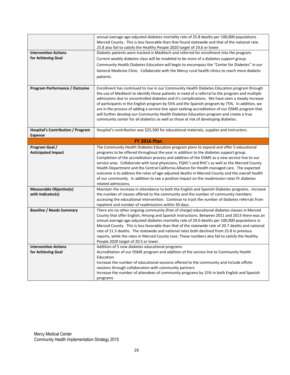|                                          | annual average age-adjusted diabetes mortality rate of 25.8 deaths per 100,000 populations<br>Merced County. This is less favorable than that found statewide and that of the national rate.     |
|------------------------------------------|--------------------------------------------------------------------------------------------------------------------------------------------------------------------------------------------------|
|                                          | 25.8 also fail to satisfy the Healthy People 2020 target of 19.6 or lower.                                                                                                                       |
| <b>Intervention Actions</b>              | Diabetic patients were tracked in Meditech and referred for enrollment into the program.                                                                                                         |
| for Achieving Goal                       | Current weekly diabetes class will be modeled to be more of a diabetes support group.                                                                                                            |
|                                          | Community Health Diabetes Education will begin to encompass the "Center for Diabetes" in our                                                                                                     |
|                                          |                                                                                                                                                                                                  |
|                                          | General Medicine Clinic. Collaborate with the Mercy rural health clinics to reach more diabetic                                                                                                  |
|                                          | patients.                                                                                                                                                                                        |
|                                          |                                                                                                                                                                                                  |
| Program Performance / Outcome            | Enrollment has continued to rise in our Community Health Diabetes Education program through                                                                                                      |
|                                          | the use of Meditech to identify those patients in need of a referral to the program and multiple                                                                                                 |
|                                          | admissions due to uncontrolled diabetes and it's complications. We have seen a steady increase                                                                                                   |
|                                          | of participants in the English program by 55% and the Spanish program by 75%. In addition, we<br>are in the process of adding a service line upon seeking accreditation of our DSME program that |
|                                          | will further develop our Community Health Diabetes Education program and create a true                                                                                                           |
|                                          | community center for all diabetics as well as those at risk of developing diabetes.                                                                                                              |
|                                          |                                                                                                                                                                                                  |
| <b>Hospital's Contribution / Program</b> | Hospital's contribution was \$25,500 for educational materials, supplies and instructors.                                                                                                        |
| <b>Expense</b>                           |                                                                                                                                                                                                  |
|                                          | <b>FY 2016 Plan</b>                                                                                                                                                                              |
| Program Goal /                           | The Community Health Diabetes Education program plans to expand and offer 5 educational                                                                                                          |
| <b>Anticipated Impact</b>                | programs to be offered throughout the year in addition to the diabetes support group.                                                                                                            |
|                                          | Completion of the accreditation process and addition of the DSME as a new service line to our                                                                                                    |
|                                          | service area. Collaborate with local physicians, FQHC's and RHC's as well as the Merced County                                                                                                   |
|                                          | Health Department and the Central California Alliance for Health managed care. The expected                                                                                                      |
|                                          | outcome is to address the rates of age-adjusted deaths in Merced County and the overall health                                                                                                   |
|                                          | of our community. In addition to see a positive impact on the readmission rates fir diabetes                                                                                                     |
|                                          | related admissions.                                                                                                                                                                              |
| <b>Measurable Objective(s)</b>           | Maintain the increase in attendance to both the English and Spanish Diabetes programs. Increase                                                                                                  |
| with Indicator(s)                        | the number of classes offered to the community and the number of community members                                                                                                               |
|                                          | accessing the educational intervention. Continue to track the number of diabetes referrals from                                                                                                  |
|                                          | inpatient and number of readmissions within 30 days.                                                                                                                                             |
| <b>Baseline / Needs Summary</b>          | There are no other ongoing community (free of charge) educational diabetes classes in Merced                                                                                                     |
|                                          | County that offer English, Hmong and Spanish instructions. Between 2011 and 2013 there was an                                                                                                    |
|                                          | annual average age-adjusted diabetes mortality rate of 29.0 deaths per 100,000 populations in                                                                                                    |
|                                          | Merced County. This is less favorable than that of the statewide rate of 20.7 deaths and national                                                                                                |
|                                          | rate of 21.3 deaths. The statewide and national rates both declined from 25.8 in previous                                                                                                        |
|                                          | reports, while the rates in Merced County rose. These numbers also fail to satisfy the Healthy<br>People 2020 target of 20.5 or lower.                                                           |
| <b>Intervention Actions</b>              | Addition of 5 new diabetes educational programs                                                                                                                                                  |
| for Achieving Goal                       | Accreditation of our DSME program and addition of the service line to Community Health                                                                                                           |
|                                          | Education                                                                                                                                                                                        |
|                                          | Increase the number of educational sessions offered to the community and include offsite                                                                                                         |
|                                          | sessions through collaboration with community partners                                                                                                                                           |
|                                          | Increase the number of attendees of community programs by 15% in both English and Spanish                                                                                                        |
|                                          | programs                                                                                                                                                                                         |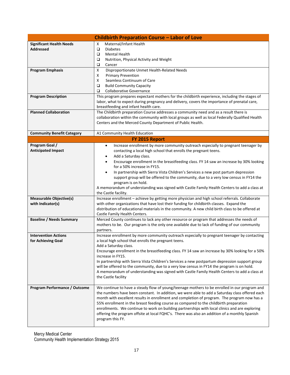| <b>Childbirth Preparation Course - Labor of Love</b> |                                                                                                    |  |  |
|------------------------------------------------------|----------------------------------------------------------------------------------------------------|--|--|
| <b>Significant Health Needs</b>                      | Maternal/Infant Health<br>x                                                                        |  |  |
| <b>Addressed</b>                                     | $\Box$<br><b>Diabetes</b>                                                                          |  |  |
|                                                      | <b>Mental Health</b><br>❏                                                                          |  |  |
|                                                      | $\Box$<br>Nutrition, Physical Activity and Weight                                                  |  |  |
|                                                      | $\Box$<br>Cancer                                                                                   |  |  |
| <b>Program Emphasis</b>                              | X<br>Disproportionate Unmet Health-Related Needs                                                   |  |  |
|                                                      | <b>Primary Prevention</b><br>X                                                                     |  |  |
|                                                      | X<br>Seamless Continuum of Care                                                                    |  |  |
|                                                      | $\Box$<br><b>Build Community Capacity</b>                                                          |  |  |
|                                                      | $\Box$<br><b>Collaborative Governance</b>                                                          |  |  |
| <b>Program Description</b>                           | This program prepares expectant mothers for the childbirth experience, including the stages of     |  |  |
|                                                      | labor, what to expect during pregnancy and delivery, covers the importance of prenatal care,       |  |  |
|                                                      | breastfeeding and infant health care.                                                              |  |  |
| <b>Planned Collaboration</b>                         | The Childbirth preparation Course addresses a community need and as a result there is              |  |  |
|                                                      | collaboration within the community with local groups as well as local Federally Qualified Health   |  |  |
|                                                      | Centers and the Merced County Department of Public Health.                                         |  |  |
|                                                      |                                                                                                    |  |  |
| <b>Community Benefit Category</b>                    | A1 Community Health Education                                                                      |  |  |
|                                                      | FY 2015 Report                                                                                     |  |  |
| Program Goal /                                       | Increase enrollment by more community outreach especially to pregnant teenager by<br>$\bullet$     |  |  |
| <b>Anticipated Impact</b>                            | contacting a local high school that enrolls the pregnant teens.                                    |  |  |
|                                                      | Add a Saturday class.                                                                              |  |  |
|                                                      | Encourage enrollment in the breastfeeding class. FY 14 saw an increase by 30% looking<br>$\bullet$ |  |  |
|                                                      | for a 50% increase in FY15.                                                                        |  |  |
|                                                      | In partnership with Sierra Vista Children's Services a new post partum depression<br>$\bullet$     |  |  |
|                                                      | support group will be offered to the community, due to a very low census in FY14 the               |  |  |
|                                                      | program is on hold.                                                                                |  |  |
|                                                      | A memorandum of understanding was signed with Castle Family Health Centers to add a class at       |  |  |
|                                                      | the Castle facility.                                                                               |  |  |
| <b>Measurable Objective(s)</b>                       | Increase enrollment - achieve by getting more physician and high school referrals. Collaborate     |  |  |
| with Indicator(s)                                    | with other organizations that have lost their funding for childbirth classes. Expand the           |  |  |
|                                                      | distribution of educational materials in the community. A new child birth class to be offered at   |  |  |
|                                                      | Castle Family Health Centers.                                                                      |  |  |
| <b>Baseline / Needs Summary</b>                      | Merced County continues to lack any other resource or program that addresses the needs of          |  |  |
|                                                      | mothers to be. Our program is the only one available due to lack of funding of our community       |  |  |
|                                                      | partners.                                                                                          |  |  |
| <b>Intervention Actions</b>                          | Increase enrollment by more community outreach especially to pregnant teenager by contacting       |  |  |
| for Achieving Goal                                   | a local high school that enrolls the pregnant teens.                                               |  |  |
|                                                      | Add a Saturday class.                                                                              |  |  |
|                                                      | Encourage enrollment in the breastfeeding class. FY 14 saw an increase by 30% looking for a 50%    |  |  |
|                                                      | increase in FY15.                                                                                  |  |  |
|                                                      | In partnership with Sierra Vista Children's Services a new postpartum depression support group     |  |  |
|                                                      | will be offered to the community, due to a very low census in FY14 the program is on hold.         |  |  |
|                                                      | A memorandum of understanding was signed with Castle Family Health Centers to add a class at       |  |  |
|                                                      | the Castle facility                                                                                |  |  |
|                                                      |                                                                                                    |  |  |
| Program Performance / Outcome                        | We continue to have a steady flow of young/teenage mothers to be enrolled in our program and       |  |  |
|                                                      | the numbers have been constant. In addition, we were able to add a Saturday class offered each     |  |  |
|                                                      | month with excellent results in enrollment and completion of program. The program now has a        |  |  |
|                                                      | 55% enrollment in the breast feeding course as compared to the childbirth preparation              |  |  |
|                                                      | enrollments. We continue to work on building partnerships with local clinics and are exploring     |  |  |
|                                                      | offering the program offsite at local FQHC's. There was also an addition of a monthly Spanish      |  |  |
|                                                      | program this FY.                                                                                   |  |  |
|                                                      |                                                                                                    |  |  |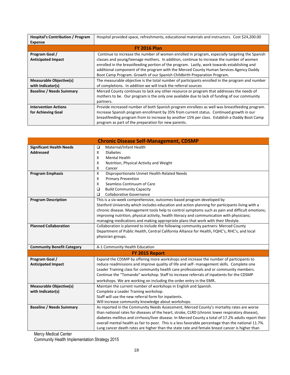| <b>Hospital's Contribution / Program</b> | Hospital provided space, refreshments, educational materials and instructors. Cost \$24,200.00  |
|------------------------------------------|-------------------------------------------------------------------------------------------------|
| <b>Expense</b>                           |                                                                                                 |
|                                          | <b>FY 2016 Plan</b>                                                                             |
| Program Goal /                           | Continue to increase the number of women enrolled in program, especially targeting the Spanish  |
| <b>Anticipated Impact</b>                | classes and young/teenage mothers. In addition, continue to increase the number of women        |
|                                          | enrolled in the breastfeeding portion of the program. Lastly, work towards establishing and     |
|                                          | additional component of the program with the Merced County Human Services Agency Daddy          |
|                                          | Boot Camp Program. Growth of our Spanish Childbirth Preparation Program.                        |
| <b>Measurable Objective(s)</b>           | The measurable objective is the total number of participants enrolled in the program and number |
| with Indicator(s)                        | of completions. In addition we will track the referral sources                                  |
| <b>Baseline / Needs Summary</b>          | Merced County continues to lack any other resource or program that addresses the needs of       |
|                                          | mothers to be. Our program is the only one available due to lack of funding of our community    |
|                                          | partners.                                                                                       |
| <b>Intervention Actions</b>              | Provide increased number of both Spanish program enrollees as well was breastfeeding program.   |
| for Achieving Goal                       | Increase Spanish program enrollment by 35% from current status. Continued growth in our         |
|                                          | breastfeeding program from to increase by another 15% per class. Establish a Daddy Boot Camp    |
|                                          | program as part of the preparation for new parents.                                             |

| <b>Chronic Disease Self-Management, CDSMP</b> |                                                                                                      |  |  |
|-----------------------------------------------|------------------------------------------------------------------------------------------------------|--|--|
| <b>Significant Health Needs</b>               | Maternal/Infant Health<br>$\Box$                                                                     |  |  |
| <b>Addressed</b>                              | X<br><b>Diabetes</b>                                                                                 |  |  |
|                                               | X<br><b>Mental Health</b>                                                                            |  |  |
|                                               | X<br>Nutrition, Physical Activity and Weight                                                         |  |  |
|                                               | X<br>Cancer                                                                                          |  |  |
| <b>Program Emphasis</b>                       | X<br>Disproportionate Unmet Health-Related Needs                                                     |  |  |
|                                               | X<br><b>Primary Prevention</b>                                                                       |  |  |
|                                               | X<br>Seamless Continuum of Care                                                                      |  |  |
|                                               | $\Box$<br><b>Build Community Capacity</b>                                                            |  |  |
|                                               | $\Box$<br><b>Collaborative Governance</b>                                                            |  |  |
| <b>Program Description</b>                    | This is a six-week comprehensive, outcomes-based program developed by                                |  |  |
|                                               | Stanford University which includes education and action planning for participants living with a      |  |  |
|                                               | chronic disease. Management tools help to control symptoms such as pain and difficult emotions;      |  |  |
|                                               | improving nutrition, physical activity, health literacy and communication with physicians;           |  |  |
| <b>Planned Collaboration</b>                  | managing medications and making appropriate plans that work with their lifestyle.                    |  |  |
|                                               | Collaboration is planned to include the following community partners: Merced County                  |  |  |
|                                               | Department of Public Health, Central California Alliance for Health, FQHC's, RHC's, and local        |  |  |
|                                               | physician groups.                                                                                    |  |  |
| <b>Community Benefit Category</b>             | A-1 Community Health Education                                                                       |  |  |
|                                               | FY 2015 Report                                                                                       |  |  |
| Program Goal /                                | Expand the CDSMP by offering more workshops and increase the number of participants to               |  |  |
| <b>Anticipated Impact</b>                     | reduce readmissions and improve quality of life and self- management skills. Complete one            |  |  |
|                                               | Leader Training class for community health care professionals and or community members.              |  |  |
|                                               | Continue the "Tomando" workshop. Staff to increase referrals of inpatients for the CDSMP             |  |  |
|                                               | workshops. We are working on including the order entry in the EMR.                                   |  |  |
| <b>Measurable Objective(s)</b>                | Maintain the current number of workshops in English and Spanish.                                     |  |  |
| with Indicator(s)                             | Complete a Leader Training workshop.                                                                 |  |  |
|                                               | Staff will use the new referral form for inpatients.                                                 |  |  |
|                                               | Will increase community knowledge about workshops.                                                   |  |  |
| <b>Baseline / Needs Summary</b>               | As reported in the Community Needs Assessment, Merced County's mortality rates are worse             |  |  |
|                                               | than national rates for diseases of the heart, stroke, CLRD (chronic lower respiratory disease),     |  |  |
|                                               | diabetes mellitus and cirrhosis/liver disease. In Merced County a total of 17.2% adults report their |  |  |
|                                               | overall mental health as fair to poor. This is a less favorable percentage than the national 11.7%.  |  |  |
|                                               | Lung cancer death rates are higher than the state rate and female breast cancer is higher than       |  |  |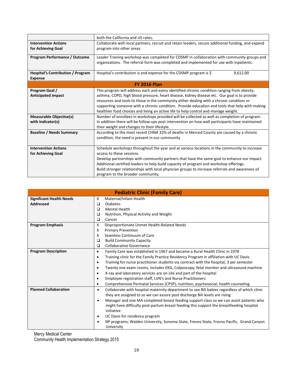|                                                                                                                                       | both the California and US rates.                                                                                                                                                                                                                                                                                                                                                                                                                                                                                                                                                                                                                                                                                                                                                                                                                                                   |  |  |
|---------------------------------------------------------------------------------------------------------------------------------------|-------------------------------------------------------------------------------------------------------------------------------------------------------------------------------------------------------------------------------------------------------------------------------------------------------------------------------------------------------------------------------------------------------------------------------------------------------------------------------------------------------------------------------------------------------------------------------------------------------------------------------------------------------------------------------------------------------------------------------------------------------------------------------------------------------------------------------------------------------------------------------------|--|--|
| <b>Intervention Actions</b>                                                                                                           | Collaborate with local partners, recruit and retain leaders, secure additional funding, and expand                                                                                                                                                                                                                                                                                                                                                                                                                                                                                                                                                                                                                                                                                                                                                                                  |  |  |
| for Achieving Goal                                                                                                                    | program into other areas.                                                                                                                                                                                                                                                                                                                                                                                                                                                                                                                                                                                                                                                                                                                                                                                                                                                           |  |  |
| <b>Program Performance / Outcome</b>                                                                                                  | Leader Training workshop was completed for CDSMP in collaboration with community groups and<br>organizations. The referral form was completed and implemented for use with inpatients.                                                                                                                                                                                                                                                                                                                                                                                                                                                                                                                                                                                                                                                                                              |  |  |
| <b>Hospital's Contribution / Program</b><br><b>Expense</b>                                                                            | Hospital's contribution is and expense for the CDSMP program is \$<br>9,612.00                                                                                                                                                                                                                                                                                                                                                                                                                                                                                                                                                                                                                                                                                                                                                                                                      |  |  |
|                                                                                                                                       | <b>FY 2016 Plan</b>                                                                                                                                                                                                                                                                                                                                                                                                                                                                                                                                                                                                                                                                                                                                                                                                                                                                 |  |  |
| Program Goal /<br><b>Anticipated Impact</b><br><b>Measurable Objective(s)</b><br>with Indicator(s)<br><b>Baseline / Needs Summary</b> | This program will address each and every identified chronic condition ranging from obesity,<br>asthma, COPD, high blood pressure, heart disease, kidney disease etc. Our goal is to provide<br>resources and tools to those in the community either dealing with a chronic condition or<br>supporting someone with a chronic condition. Provide education and tools that help with making<br>healthier food choices and living an active life to help control and manage weight.<br>Number of enrollees in workshops provided will be collected as well as completion of program.<br>In addition there will be follow-ups post intervention on how well participants have maintained<br>their weight and changes to their lifestyle.<br>According to the most recent CHNA 32% of deaths in Merced County are caused by a chronic<br>condition, the need is present in our community |  |  |
| <b>Intervention Actions</b><br>for Achieving Goal                                                                                     | Schedule workshops throughout the year and at various locations in the community to increase<br>access to these sessions.<br>Develop partnerships with community partners that have the same goal to enhance our impact.<br>Additional certified leaders to help build capacity of program and workshop offerings.<br>Build stronger relationships with local physician groups to increase referrals and awareness of<br>program to the broader community.                                                                                                                                                                                                                                                                                                                                                                                                                          |  |  |

| <b>Pediatric Clinic (Family Care)</b> |           |                                                                                              |  |
|---------------------------------------|-----------|----------------------------------------------------------------------------------------------|--|
| <b>Significant Health Needs</b>       | X         | Maternal/Infant Health                                                                       |  |
| <b>Addressed</b>                      | ◘         | <b>Diabetes</b>                                                                              |  |
|                                       | □         | <b>Mental Health</b>                                                                         |  |
|                                       | ◘         | Nutrition, Physical Activity and Weight                                                      |  |
|                                       | $\Box$    | Cancer                                                                                       |  |
| <b>Program Emphasis</b>               | X         | Disproportionate Unmet Health-Related Needs                                                  |  |
|                                       | X         | <b>Primary Prevention</b>                                                                    |  |
|                                       | X         | Seamless Continuum of Care                                                                   |  |
|                                       | $\Box$    | <b>Build Community Capacity</b>                                                              |  |
|                                       | $\Box$    | <b>Collaborative Governance</b>                                                              |  |
| <b>Program Description</b>            | $\bullet$ | Family Care was established in 1967 and became a Rural Health Clinic in 1978                 |  |
|                                       | $\bullet$ | Training clinic for the Family Practice Residency Program in affiliation with UC Davis       |  |
|                                       | $\bullet$ | Training for nurse practitioner students via contract with the hospital, 3 per semester      |  |
|                                       | $\bullet$ | Twenty one exam rooms, includes EKG, Colposcopy, fetal monitor and ultrasound machine        |  |
|                                       | ٠         | X-ray and laboratory services are on site and part of the hospital                           |  |
|                                       | $\bullet$ | Employee registration staff, LVN's and Nurse Practitioners                                   |  |
|                                       | $\bullet$ | Comprehensive Perinatal Services (CPSP); nutrition, psychosocial, health counseling          |  |
| <b>Planned Collaboration</b>          | $\bullet$ | Collaborate with hospital maternity department to see Bili babies regardless of which clinic |  |
|                                       |           | they are assigned to so we can assure post discharge Bili levels are rising                  |  |
|                                       | $\bullet$ | Manager and one MA completed breast feeding support class so we can assist patients who      |  |
|                                       |           | might have difficulty post-partum breast feeding this support the breastfeeding hospital     |  |
|                                       |           | initiative                                                                                   |  |
|                                       | $\bullet$ | UC Davis for residency program                                                               |  |
|                                       | ٠         | NP programs; Walden University, Sonoma State, Fresno State, Fresno Pacific, Grand Canyon     |  |
|                                       |           | University                                                                                   |  |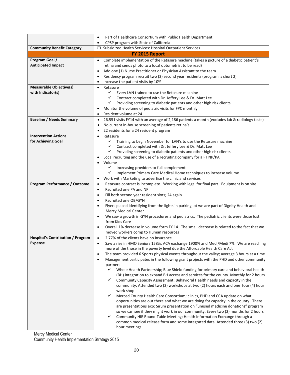|                                                   | Part of Healthcare Consortium with Public Health Department<br>$\bullet$                                                                                                |  |  |
|---------------------------------------------------|-------------------------------------------------------------------------------------------------------------------------------------------------------------------------|--|--|
|                                                   | CPSP program with State of California<br>$\bullet$                                                                                                                      |  |  |
| <b>Community Benefit Category</b>                 | C3. Subsidized Health Services: Hospital Outpatient Services                                                                                                            |  |  |
|                                                   | FY 2015 Report                                                                                                                                                          |  |  |
| Program Goal /                                    | Complete implementation of the Retasure machine (takes a picture of a diabetic patient's<br>$\bullet$                                                                   |  |  |
| <b>Anticipated Impact</b>                         | retina and sends photo to a local optometrist to be read)                                                                                                               |  |  |
|                                                   | Add one (1) Nurse Practitioner or Physician Assistant to the team<br>Residency program recruit two (2) second year residents (program is short 2)                       |  |  |
|                                                   | Increase the patient visits by 10%                                                                                                                                      |  |  |
| <b>Measurable Objective(s)</b>                    | Retasure                                                                                                                                                                |  |  |
| with Indicator(s)                                 | $\checkmark$<br>Every LVN trained to use the Retasure machine                                                                                                           |  |  |
|                                                   | ← Contract completed with Dr. Jeffery Lee & Dr. Matt Lee                                                                                                                |  |  |
|                                                   | Providing screening to diabetic patients and other high risk clients<br>✓                                                                                               |  |  |
|                                                   | Monitor the volume of pediatric visits for FPC monthly                                                                                                                  |  |  |
|                                                   | Resident volume at 24<br>$\bullet$                                                                                                                                      |  |  |
| <b>Baseline / Needs Summary</b>                   | 26.551 visits FY14 with an average of 2,186 patients a month (excludes lab & radiology tests)<br>$\bullet$                                                              |  |  |
|                                                   | No current in-house screening of patients retina's                                                                                                                      |  |  |
|                                                   | 22 residents for a 24 resident program                                                                                                                                  |  |  |
| <b>Intervention Actions</b><br>for Achieving Goal | Retasure<br>$\checkmark$<br>Training to begin November for LVN's to use the Retasure machine                                                                            |  |  |
|                                                   | Contract completed with Dr. Jeffery Lee & Dr. Matt Lee<br>$\checkmark$                                                                                                  |  |  |
|                                                   | ✓<br>Providing screening to diabetic patients and other high risk clients                                                                                               |  |  |
|                                                   | Local recruiting and the use of a recruiting company for a FT NP/PA                                                                                                     |  |  |
|                                                   | Volume<br>$\bullet$                                                                                                                                                     |  |  |
|                                                   | $\checkmark$<br>Increasing providers to full complement                                                                                                                 |  |  |
|                                                   | Implement Primary Care Medical Home techniques to increase volume<br>✓                                                                                                  |  |  |
|                                                   | Work with Marketing to advertise the clinic and services<br>٠                                                                                                           |  |  |
| <b>Program Performance / Outcome</b>              | Retasure contract is incomplete. Working with legal for final part. Equipment is on site<br>$\bullet$                                                                   |  |  |
|                                                   | Recruited one PA and NP<br>$\bullet$<br>$\bullet$                                                                                                                       |  |  |
|                                                   | Fill both second year resident slots; 24 again<br>Recruited one OB/GYN<br>$\bullet$                                                                                     |  |  |
|                                                   | Flyers placed identifying from the lights in parking lot we are part of Dignity Health and<br>$\bullet$                                                                 |  |  |
|                                                   | <b>Mercy Medical Center</b>                                                                                                                                             |  |  |
|                                                   | We saw a growth in GYN procedures and pediatrics. The pediatric clients were those lost<br>$\bullet$<br>from Kids Care                                                  |  |  |
|                                                   | Overall 1% decrease in volume form FY 14. The small decrease is related to the fact that we                                                                             |  |  |
|                                                   | moved workers comp to Human resources                                                                                                                                   |  |  |
| <b>Hospital's Contribution / Program</b>          | 2.77% of the clients have no insurance.<br>$\bullet$                                                                                                                    |  |  |
| <b>Expense</b>                                    | Saw a rise in HMO Seniors 158%, ACA exchange 1900% and Medi/Medi 7%. We are reaching<br>$\bullet$                                                                       |  |  |
|                                                   | more of the those in the poverty level due the Affordable Health Care Act                                                                                               |  |  |
|                                                   | The team provided 6 Sports physical events throughout the valley; average 3 hours at a time<br>$\bullet$                                                                |  |  |
|                                                   | Management participates in the following grant projects with the PHD and other community<br>$\bullet$<br>partners                                                       |  |  |
|                                                   | $\checkmark$<br>Whole Health Partnership; Blue Shield funding for primary care and behavioral health                                                                    |  |  |
|                                                   | (BH) integration to expand BH access and services for the county. Monthly for 2 hours                                                                                   |  |  |
|                                                   | $\checkmark$<br>Community Capacity Assessment; Behavioral Health needs and capacity in the                                                                              |  |  |
|                                                   | community. Attended two (2) workshops at two (2) hours each and one four (4) hour                                                                                       |  |  |
|                                                   | work shop                                                                                                                                                               |  |  |
|                                                   | $\checkmark$<br>Merced County Health Care Consortium; clinics, PHD and CCA update on what                                                                               |  |  |
|                                                   | opportunities are out there and what we are doing for capacity in the county. There<br>are presentations exp: Sirum presentation on "unused medicine donations" program |  |  |
|                                                   | so we can see if they might work in our community. Every two (2) months for 2 hours                                                                                     |  |  |
|                                                   | $\checkmark$<br>Community HIE Round-Table Meeting; Health Information Exchange through a                                                                                |  |  |
|                                                   | common medical release form and some integrated data. Attended three (3) two (2)                                                                                        |  |  |
|                                                   | hour meetings                                                                                                                                                           |  |  |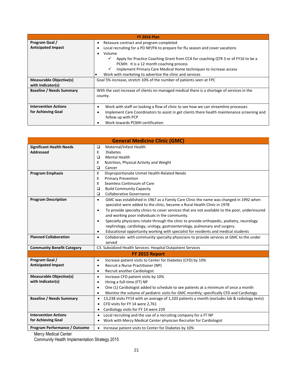| <b>FY 2016 Plan</b>             |                                                                                                  |
|---------------------------------|--------------------------------------------------------------------------------------------------|
| Program Goal /                  | Retasure contract and program completed                                                          |
| <b>Anticipated Impact</b>       | Local recruiting for a PD NP/PA to prepare for flu season and cover vacations                    |
|                                 | Volume                                                                                           |
|                                 | Apply for Practice Coaching Grant from CCA for coaching QTR 3 or of FY16 to be a<br>$\checkmark$ |
|                                 | PCMH. It is a 12 month coaching process                                                          |
|                                 | Implement Primary Care Medical Home techniques to increase access<br>$\checkmark$                |
|                                 | Work with marketing to advertise the clinic and services                                         |
| <b>Measurable Objective(s)</b>  | Goal 5% increase, stretch 10% of the number of patients seen at FPC                              |
| with Indicator(s)               |                                                                                                  |
| <b>Baseline / Needs Summary</b> | With the vast increase of clients on managed medical there is a shortage of services in the      |
|                                 | county.                                                                                          |
|                                 |                                                                                                  |
| <b>Intervention Actions</b>     | Work with staff on looking a flow of clinic to see how we can streamline processes               |
| for Achieving Goal              | Implement Care Coordinators to assist in get clients there health maintenance screening and      |
|                                 | follow up with PCP                                                                               |
|                                 | Work towards PCMH certification                                                                  |

| <b>General Medicine Clinic (GMC)</b> |                                                                                                              |
|--------------------------------------|--------------------------------------------------------------------------------------------------------------|
| <b>Significant Health Needs</b>      | Maternal/Infant Health<br>□                                                                                  |
| <b>Addressed</b>                     | <b>Diabetes</b><br>X                                                                                         |
|                                      | Mental Health<br>▫                                                                                           |
|                                      | Nutrition, Physical Activity and Weight<br>X                                                                 |
|                                      | $\Box$<br>Cancer                                                                                             |
| <b>Program Emphasis</b>              | Disproportionate Unmet Health-Related Needs<br>X                                                             |
|                                      | <b>Primary Prevention</b><br>X                                                                               |
|                                      | Seamless Continuum of Care<br>X                                                                              |
|                                      | <b>Build Community Capacity</b><br>$\Box$                                                                    |
|                                      | <b>Collaborative Governance</b><br>$\Box$                                                                    |
| <b>Program Description</b>           | GMC was established in 1967 as a Family Care Clinic the name was changed in 1992 when<br>$\bullet$           |
|                                      | specialist were added to the clinic, became a Rural Health Clinic in 1978                                    |
|                                      | To provide specialty clinics to cover services that are not available to the poor, underinsured<br>$\bullet$ |
|                                      | and working poor individuals in the community.                                                               |
|                                      | Specialty physicians rotate through the clinic to provide orthopedic, podiatry, neurology<br>$\bullet$       |
|                                      | nephrology, cardiology, urology, gastroenterology, pulmonary and surgery.                                    |
|                                      | Educational opportunity working with specialist for residents and medical students<br>$\bullet$              |
| <b>Planned Collaboration</b>         | Collaborate with community specialty physicians to provide services at GMC to the under<br>$\bullet$         |
|                                      | served                                                                                                       |
| <b>Community Benefit Category</b>    | C3. Subsidized Health Services: Hospital Outpatient Services                                                 |
|                                      | FY 2015 Report                                                                                               |
| Program Goal /                       | Increase patient visits to Center for Diabetes (CFD) by 10%<br>$\bullet$                                     |
| <b>Anticipated Impact</b>            | Recruit a Nurse Practitioner (NP)<br>$\bullet$                                                               |
|                                      | Recruit another Cardiologist<br>$\bullet$                                                                    |
| <b>Measurable Objective(s)</b>       | Increase CFD patient visits by 10%<br>$\bullet$                                                              |
| with Indicator(s)                    | Hiring a full-time (FT) NP<br>$\bullet$                                                                      |
|                                      | One (1) Cardiologist added to schedule to see patients at a minimum of once a month<br>$\bullet$             |
|                                      | Monitor the volume of pediatric visits for GMC monthly; specifically CFD and Cardiology<br>$\bullet$         |
| <b>Baseline / Needs Summary</b>      | 13,238 visits FY14 with an average of 1,103 patients a month (excludes lab & radiology tests)<br>$\bullet$   |
|                                      | CFD visits for FY 14 were 2,761<br>$\bullet$                                                                 |
|                                      | Cardiology visits for FY 14 were 239                                                                         |
| <b>Intervention Actions</b>          | Local recruiting and the use of a recruiting company for a FT NP<br>$\bullet$                                |
| for Achieving Goal                   | Work with Mercy Medical Center physician Recruiter for Cardiologist                                          |
| Program Performance / Outcome        | Increase patient visits to Center for Diabetes by 10%<br>$\bullet$                                           |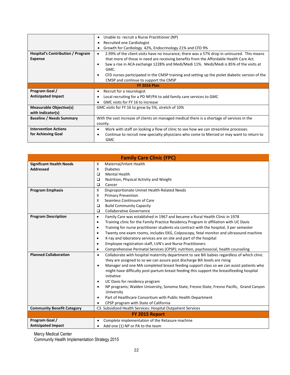|                                                            | Unable to recruit a Nurse Practitioner (NP)                                                                                                                                                                                                                                                                                                                                                                                                              |
|------------------------------------------------------------|----------------------------------------------------------------------------------------------------------------------------------------------------------------------------------------------------------------------------------------------------------------------------------------------------------------------------------------------------------------------------------------------------------------------------------------------------------|
|                                                            | Recruited one Cardiologist                                                                                                                                                                                                                                                                                                                                                                                                                               |
|                                                            | Growth for Cardiology 42%, Endocrinology 21% and CFD 9%                                                                                                                                                                                                                                                                                                                                                                                                  |
| <b>Hospital's Contribution / Program</b><br><b>Expense</b> | 2.99% of the client visits have no insurance; there was a 57% drop in uninsured. This means<br>$\bullet$<br>that more of those in need are receiving benefits from the Affordable Health Care Act.<br>Saw a rise in ACA exchange 1228% and Medi/Medi 11%. Medi/Medi is 85% of the visits at<br>٠<br>GMC.<br>CFD nurses participated in the CMSP training and setting up the piolet diabetic version of the<br>٠<br>CMSP and continue to support the CMSP |
|                                                            | <b>FY 2016 Plan</b>                                                                                                                                                                                                                                                                                                                                                                                                                                      |
| Program Goal /                                             | Recruit for a neurologist<br>٠                                                                                                                                                                                                                                                                                                                                                                                                                           |
| <b>Anticipated Impact</b>                                  | Local recruiting for a PD NP/PA to add family care services to GMC                                                                                                                                                                                                                                                                                                                                                                                       |
|                                                            | GMC visits for FY 16 to increase                                                                                                                                                                                                                                                                                                                                                                                                                         |
| <b>Measurable Objective(s)</b><br>with Indicator(s)        | GMC visits for FY 16 to grow by 5%, stretch of 10%                                                                                                                                                                                                                                                                                                                                                                                                       |
| <b>Baseline / Needs Summary</b>                            | With the vast increase of clients on managed medical there is a shortage of services in the                                                                                                                                                                                                                                                                                                                                                              |
|                                                            | county.                                                                                                                                                                                                                                                                                                                                                                                                                                                  |
| <b>Intervention Actions</b>                                | Work with staff on looking a flow of clinic to see how we can streamline processes<br>٠                                                                                                                                                                                                                                                                                                                                                                  |
| for Achieving Goal                                         | Continue to recruit new specialty physicians who come to Merced or may want to return to<br>٠<br><b>GMC</b>                                                                                                                                                                                                                                                                                                                                              |

| <b>Family Care Clinic (FPC)</b>   |                                                                                                           |
|-----------------------------------|-----------------------------------------------------------------------------------------------------------|
| <b>Significant Health Needs</b>   | Maternal/Infant Health<br>Х                                                                               |
| <b>Addressed</b>                  | X<br><b>Diabetes</b>                                                                                      |
|                                   | <b>Mental Health</b><br>$\Box$                                                                            |
|                                   | Nutrition, Physical Activity and Weight<br>$\Box$                                                         |
|                                   | $\Box$<br>Cancer                                                                                          |
| <b>Program Emphasis</b>           | Disproportionate Unmet Health-Related Needs<br>X                                                          |
|                                   | X<br><b>Primary Prevention</b>                                                                            |
|                                   | Seamless Continuum of Care<br>X                                                                           |
|                                   | $\Box$<br><b>Build Community Capacity</b>                                                                 |
|                                   | <b>Collaborative Governance</b><br>$\Box$                                                                 |
| <b>Program Description</b>        | Family Care was established in 1967 and became a Rural Health Clinic in 1978<br>$\bullet$                 |
|                                   | Training clinic for the Family Practice Residency Program in affiliation with UC Davis<br>$\bullet$       |
|                                   | Training for nurse practitioner students via contract with the hospital, 3 per semester<br>$\bullet$      |
|                                   | Twenty one exam rooms, includes EKG, Colposcopy, fetal monitor and ultrasound machine<br>$\bullet$        |
|                                   | X-ray and laboratory services are on site and part of the hospital<br>$\bullet$                           |
|                                   | Employee registration staff, LVN's and Nurse Practitioners<br>$\bullet$                                   |
|                                   | Comprehensive Perinatal Services (CPSP); nutrition, psychosocial, health counseling<br>$\bullet$          |
| <b>Planned Collaboration</b>      | Collaborate with hospital maternity department to see Bili babies regardless of which clinic<br>$\bullet$ |
|                                   | they are assigned to so we can assure post discharge Bili levels are rising                               |
|                                   | Manager and one MA completed breast feeding support class so we can assist patients who<br>$\bullet$      |
|                                   | might have difficulty post-partum breast feeding this support the breastfeeding hospital                  |
|                                   | initiative                                                                                                |
|                                   | UC Davis for residency program<br>$\bullet$                                                               |
|                                   | NP programs; Walden University, Sonoma State, Fresno State, Fresno Pacific, Grand Canyon<br>$\bullet$     |
|                                   | University                                                                                                |
|                                   | Part of Healthcare Consortium with Public Health Department<br>$\bullet$                                  |
|                                   | CPSP program with State of California                                                                     |
| <b>Community Benefit Category</b> | C3. Subsidized Health Services: Hospital Outpatient Services                                              |
| FY 2015 Report                    |                                                                                                           |
| Program Goal /                    | Complete implementation of the Retasure machine                                                           |
| <b>Anticipated Impact</b>         | Add one (1) NP or PA to the team                                                                          |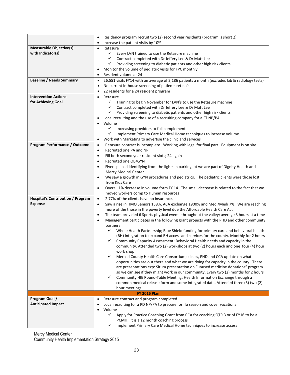|                                             | Residency program recruit two (2) second year residents (program is short 2)<br>$\bullet$                                                           |
|---------------------------------------------|-----------------------------------------------------------------------------------------------------------------------------------------------------|
|                                             | Increase the patient visits by 10%                                                                                                                  |
| <b>Measurable Objective(s)</b>              | Retasure                                                                                                                                            |
| with Indicator(s)                           | ✓<br>Every LVN trained to use the Retasure machine                                                                                                  |
|                                             | $\checkmark$<br>Contract completed with Dr Jeffery Lee & Dr Matt Lee<br>✓<br>Providing screening to diabetic patients and other high risk clients   |
|                                             | Monitor the volume of pediatric visits for FPC monthly                                                                                              |
|                                             | Resident volume at 24<br>$\bullet$                                                                                                                  |
| <b>Baseline / Needs Summary</b>             | $\bullet$                                                                                                                                           |
|                                             | 26.551 visits FY14 with an average of 2,186 patients a month (excludes lab & radiology tests)<br>No current in-house screening of patients retina's |
|                                             | 22 residents for a 24 resident program                                                                                                              |
| <b>Intervention Actions</b>                 | Retasure<br>$\bullet$                                                                                                                               |
| for Achieving Goal                          | $\checkmark$<br>Training to begin November for LVN's to use the Retasure machine                                                                    |
|                                             | $\checkmark$<br>Contract completed with Dr Jeffery Lee & Dr Matt Lee                                                                                |
|                                             | $\checkmark$<br>Providing screening to diabetic patients and other high risk clients                                                                |
|                                             | Local recruiting and the use of a recruiting company for a FT NP/PA                                                                                 |
|                                             | Volume                                                                                                                                              |
|                                             | ✓<br>Increasing providers to full complement                                                                                                        |
|                                             | Implement Primary Care Medical Home techniques to increase volume<br>✓                                                                              |
|                                             | Work with Marketing to advertise the clinic and services<br>$\bullet$                                                                               |
| Program Performance / Outcome               | Retasure contract is incomplete. Working with legal for final part. Equipment is on site<br>$\bullet$                                               |
|                                             | Recruited one PA and NP<br>$\bullet$                                                                                                                |
|                                             | Fill both second year resident slots; 24 again<br>$\bullet$                                                                                         |
|                                             | Recruited one OB/GYN<br>$\bullet$                                                                                                                   |
|                                             | Flyers placed identifying from the lights in parking lot we are part of Dignity Health and<br>$\bullet$                                             |
|                                             | <b>Mercy Medical Center</b>                                                                                                                         |
|                                             | We saw a growth in GYN procedures and pediatrics. The pediatric clients were those lost                                                             |
|                                             | from Kids Care                                                                                                                                      |
|                                             | Overall 1% decrease in volume form FY 14. The small decrease is related to the fact that we<br>$\bullet$                                            |
|                                             | moved workers comp to Human resources                                                                                                               |
| <b>Hospital's Contribution / Program</b>    | 2.77% of the clients have no insurance.<br>$\bullet$                                                                                                |
| <b>Expense</b>                              | Saw a rise in HMO Seniors 158%, ACA exchange 1900% and Medi/Medi 7%. We are reaching<br>$\bullet$                                                   |
|                                             | more of the those in the poverty level due the Affordable Health Care Act                                                                           |
|                                             | The team provided 6 Sports physical events throughout the valley; average 3 hours at a time<br>$\bullet$                                            |
|                                             | Management participates in the following grant projects with the PHD and other community<br>$\bullet$                                               |
|                                             | partners                                                                                                                                            |
|                                             | ✓<br>Whole Health Partnership; Blue Shield funding for primary care and behavioral health                                                           |
|                                             | (BH) integration to expand BH access and services for the county. Monthly for 2 hours                                                               |
|                                             | $\checkmark$<br>Community Capacity Assessment; Behavioral Health needs and capacity in the                                                          |
|                                             | community. Attended two (2) workshops at two (2) hours each and one four (4) hour                                                                   |
|                                             | work shop                                                                                                                                           |
|                                             | ✓<br>Merced County Health Care Consortium; clinics, PHD and CCA update on what                                                                      |
|                                             | opportunities are out there and what we are doing for capacity in the county. There                                                                 |
|                                             | are presentations exp: Sirum presentation on "unused medicine donations" program                                                                    |
|                                             | so we can see if they might work in our community. Every two (2) months for 2 hours                                                                 |
|                                             | Community HIE Round-Table Meeting; Health Information Exchange through a<br>$\checkmark$                                                            |
|                                             | common medical release form and some integrated data. Attended three (3) two (2)                                                                    |
|                                             | hour meetings                                                                                                                                       |
| <b>FY 2016 Plan</b>                         |                                                                                                                                                     |
| Program Goal /<br><b>Anticipated Impact</b> | Retasure contract and program completed<br>Local recruiting for a PD NP/PA to prepare for flu season and cover vacations                            |
|                                             | Volume                                                                                                                                              |
|                                             | ✓<br>Apply for Practice Coaching Grant from CCA for coaching QTR 3 or of FY16 to be a                                                               |
|                                             | PCMH. It is a 12 month coaching process                                                                                                             |
|                                             | Implement Primary Care Medical Home techniques to increase access<br>✓                                                                              |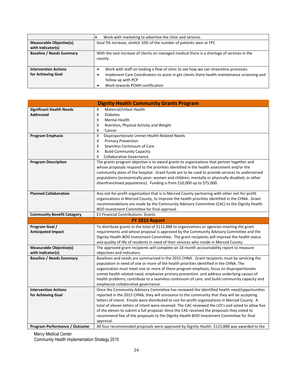|                                 | Work with marketing to advertise the clinic and services                                    |
|---------------------------------|---------------------------------------------------------------------------------------------|
| <b>Measurable Objective(s)</b>  | Goal 5% increase, stretch 10% of the number of patients seen at FPC                         |
| with Indicator(s)               |                                                                                             |
| <b>Baseline / Needs Summary</b> | With the vast increase of clients on managed medical there is a shortage of services in the |
|                                 | county.                                                                                     |
|                                 |                                                                                             |
| <b>Intervention Actions</b>     | Work with staff on looking a flow of clinic to see how we can streamline processes          |
| for Achieving Goal              | Implement Care Coordinators to assist in get clients there health maintenance screening and |
|                                 | follow up with PCP                                                                          |
|                                 | Work towards PCMH certification                                                             |

| <b>Dignity Health Community Grants Program</b>      |                                                                                                                                                                                                                                                                                                                                                                                                                                                                                                                                                                                                            |
|-----------------------------------------------------|------------------------------------------------------------------------------------------------------------------------------------------------------------------------------------------------------------------------------------------------------------------------------------------------------------------------------------------------------------------------------------------------------------------------------------------------------------------------------------------------------------------------------------------------------------------------------------------------------------|
| <b>Significant Health Needs</b><br><b>Addressed</b> | Maternal/Infant Health<br>x<br>X<br><b>Diabetes</b><br>X<br><b>Mental Health</b><br>X<br>Nutrition, Physical Activity and Weight<br>X<br>Cancer                                                                                                                                                                                                                                                                                                                                                                                                                                                            |
| <b>Program Emphasis</b>                             | X<br>Disproportionate Unmet Health-Related Needs<br>X<br><b>Primary Prevention</b><br>X<br>Seamless Continuum of Care<br>X<br><b>Build Community Capacity</b><br>x<br><b>Collaborative Governance</b>                                                                                                                                                                                                                                                                                                                                                                                                      |
| <b>Program Description</b>                          | The grants program objective is to award grants to organizations that partner together and<br>whose proposals respond to the priorities identified in the health assessment and/or the<br>community plans of the hospital. Grant funds are to be used to provide services to underserved<br>populations (economically poor; women and children; mentally or physically disabled; or other<br>disenfranchised populations). Funding is from \$10,000 up to \$75,000.                                                                                                                                        |
| <b>Planned Collaboration</b>                        | Any not-for-profit organization that is in Merced County partnering with other not-for-profit<br>organizations in Merced County, to improve the health priorities identified in the CHNA. Grant<br>recommendations are made by the Community Advisory Committee (CAC) to the Dignity Health<br>BOD Investment Committee for final approval.                                                                                                                                                                                                                                                                |
| <b>Community Benefit Category</b>                   | <b>E1 Financial Contributions: Grants</b>                                                                                                                                                                                                                                                                                                                                                                                                                                                                                                                                                                  |
|                                                     | FY 2015 Report                                                                                                                                                                                                                                                                                                                                                                                                                                                                                                                                                                                             |
| Program Goal /<br><b>Anticipated Impact</b>         | To distribute grants in the total of \$115,888 to organizations or agencies meeting the grant<br>requirements and whose proposal is approved by the Community Advisory Committee and the<br>Dignity Health BOD Investment Committee. The grant recipients will improve the health status<br>and quality of life of residents in need of their services who reside in Merced County.                                                                                                                                                                                                                        |
| <b>Measurable Objective(s)</b><br>with Indicator(s) | The approved grant recipients will complete an 18 month accountability report to measure<br>objectives and indicators.                                                                                                                                                                                                                                                                                                                                                                                                                                                                                     |
| <b>Baseline / Needs Summary</b>                     |                                                                                                                                                                                                                                                                                                                                                                                                                                                                                                                                                                                                            |
|                                                     | Baselines and needs are summarized in the 2015 CHNA. Grant recipients must be servicing the<br>population in need of one or more of the health priorities identified in the CHNA. The<br>organization must meet one or more of these program emphasis; focus on disproportionate<br>unmet health related need; emphasize primary prevention and address underlying causes of<br>health problems; contribute to a seamless continuum of care; and build community capacity and<br>emphasize collaborative governance.                                                                                       |
| <b>Intervention Actions</b>                         | Once the Community Advisory Committee has reviewed the identified health need/opportunities                                                                                                                                                                                                                                                                                                                                                                                                                                                                                                                |
| for Achieving Goal                                  | reported in the 2015 CHNA, they will announce to the community that they will be accepting<br>letters of intent. Emails were distributed to not-for-profit organizations in Merced County. A<br>total of eleven letters of intent were received. The CAC reviewed the LOI's and voted to allow five<br>of the eleven to submit a full proposal. Once the CAC received the proposals they voted to<br>recommend five of the proposals to the Dignity Health BOD Investment Committee for final<br>approval.<br>All four recommended proposals were approved by Dignity Health. \$115,888 was awarded to the |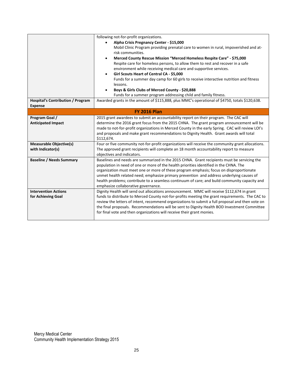|                                          | following not-for-profit organizations.                                                           |
|------------------------------------------|---------------------------------------------------------------------------------------------------|
|                                          | Alpha Crisis Pregnancy Center - \$15,000<br>$\bullet$                                             |
|                                          | Mobil Clinic Program providing prenatal care to women in rural, impoverished and at-              |
|                                          | risk communities.                                                                                 |
|                                          | Merced County Rescue Mission "Merced Homeless Respite Care" - \$75,000<br>$\bullet$               |
|                                          | Respite care for homeless persons, to allow them to rest and recover in a safe                    |
|                                          | environment while receiving medical care and supportive services.                                 |
|                                          | Girl Scouts Heart of Central CA - \$5,000<br>$\bullet$                                            |
|                                          | Funds for a summer day camp for 60 girls to receive interactive nutrition and fitness             |
|                                          | lessons.                                                                                          |
|                                          | Boys & Girls Clubs of Merced County - \$20,888<br>$\bullet$                                       |
|                                          | Funds for a summer program addressing child and family fitness.                                   |
| <b>Hospital's Contribution / Program</b> | Awarded grants in the amount of \$115,888, plus MMC's operational of \$4750, totals \$120,638.    |
| <b>Expense</b>                           |                                                                                                   |
| <b>FY 2016 Plan</b>                      |                                                                                                   |
| Program Goal /                           | 2015 grant awardees to submit an accountability report on their program. The CAC will             |
| <b>Anticipated Impact</b>                | determine the 2016 grant focus from the 2015 CHNA. The grant program announcement will be         |
|                                          | made to not-for-profit organizations in Merced County in the early Spring. CAC will review LOI's  |
|                                          | and proposals and make grant recommendations to Dignity Health. Grant awards will total           |
|                                          | \$112,674.                                                                                        |
| <b>Measurable Objective(s)</b>           | Four or five community not-for-profit organizations will receive the community grant allocations. |
| with Indicator(s)                        | The approved grant recipients will complete an 18 month accountability report to measure          |
|                                          | objectives and indicators.                                                                        |
| <b>Baseline / Needs Summary</b>          | Baselines and needs are summarized in the 2015 CHNA. Grant recipients must be servicing the       |
|                                          | population in need of one or more of the health priorities identified in the CHNA. The            |
|                                          | organization must meet one or more of these program emphasis; focus on disproportionate           |
|                                          | unmet health related need; emphasize primary prevention and address underlying causes of          |
|                                          | health problems; contribute to a seamless continuum of care; and build community capacity and     |
|                                          | emphasize collaborative governance.                                                               |
| <b>Intervention Actions</b>              | Dignity Health will send out allocations announcement. MMC will receive \$112,674 in grant        |
| for Achieving Goal                       | funds to distribute to Merced County not-for-profits meeting the grant requirements. The CAC to   |
|                                          | review the letters of intent, recommend organizations to submit a full proposal and then vote on  |
|                                          | the final proposals. Recommendations will be sent to Dignity Health BOD Investment Committee      |
|                                          | for final vote and then organizations will receive their grant monies.                            |
|                                          |                                                                                                   |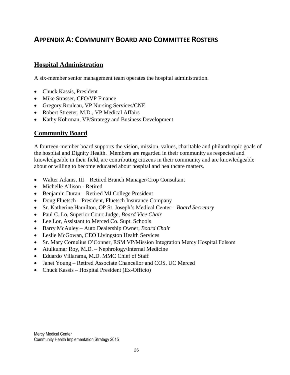### **APPENDIX A: COMMUNITY BOARD AND COMMITTEE ROSTERS**

### **Hospital Administration**

A six-member senior management team operates the hospital administration.

- Chuck Kassis, President
- Mike Strasser, CFO/VP Finance
- Gregory Rouleau, VP Nursing Services/CNE
- Robert Streeter, M.D., VP Medical Affairs
- Kathy Kohrman, VP/Strategy and Business Development

### **Community Board**

A fourteen-member board supports the vision, mission, values, charitable and philanthropic goals of the hospital and Dignity Health. Members are regarded in their community as respected and knowledgeable in their field, are contributing citizens in their community and are knowledgeable about or willing to become educated about hospital and healthcare matters.

- Walter Adams, III Retired Branch Manager/Crop Consultant
- Michelle Allison Retired
- Benjamin Duran Retired MJ College President
- Doug Fluetsch President, Fluetsch Insurance Company
- Sr. Katherine Hamilton, OP St. Joseph's Medical Center *Board Secretary*
- Paul C. Lo, Superior Court Judge, *Board Vice Chair*
- Lee Lor, Assistant to Merced Co. Supt. Schools
- Barry McAuley Auto Dealership Owner, *Board Chair*
- Leslie McGowan, CEO Livingston Health Services
- Sr. Mary Cornelius O'Conner, RSM VP/Mission Integration Mercy Hospital Folsom
- Atulkumar Roy, M.D. Nephrology/Internal Medicine
- Eduardo Villarama, M.D. MMC Chief of Staff
- Janet Young Retired Associate Chancellor and COS, UC Merced
- Chuck Kassis Hospital President (Ex-Officio)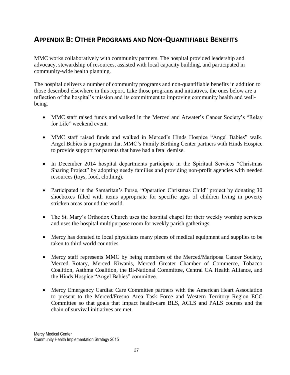### **APPENDIX B: OTHER PROGRAMS AND NON-QUANTIFIABLE BENEFITS**

MMC works collaboratively with community partners. The hospital provided leadership and advocacy, stewardship of resources, assisted with local capacity building, and participated in community-wide health planning.

The hospital delivers a number of community programs and non-quantifiable benefits in addition to those described elsewhere in this report. Like those programs and initiatives, the ones below are a reflection of the hospital's mission and its commitment to improving community health and wellbeing.

- MMC staff raised funds and walked in the Merced and Atwater's Cancer Society's "Relay for Life" weekend event.
- MMC staff raised funds and walked in Merced's Hinds Hospice "Angel Babies" walk. Angel Babies is a program that MMC's Family Birthing Center partners with Hinds Hospice to provide support for parents that have had a fetal demise.
- In December 2014 hospital departments participate in the Spiritual Services "Christmas" Sharing Project" by adopting needy families and providing non-profit agencies with needed resources (toys, food, clothing).
- Participated in the Samaritan's Purse, "Operation Christmas Child" project by donating 30 shoeboxes filled with items appropriate for specific ages of children living in poverty stricken areas around the world.
- The St. Mary's Orthodox Church uses the hospital chapel for their weekly worship services and uses the hospital multipurpose room for weekly parish gatherings.
- Mercy has donated to local physicians many pieces of medical equipment and supplies to be taken to third world countries.
- Mercy staff represents MMC by being members of the Merced/Mariposa Cancer Society, Merced Rotary, Merced Kiwanis, Merced Greater Chamber of Commerce, Tobacco Coalition, Asthma Coalition, the Bi-National Committee, Central CA Health Alliance, and the Hinds Hospice "Angel Babies" committee.
- Mercy Emergency Cardiac Care Committee partners with the American Heart Association to present to the Merced/Fresno Area Task Force and Western Territory Region ECC Committee so that goals that impact health-care BLS, ACLS and PALS courses and the chain of survival initiatives are met.